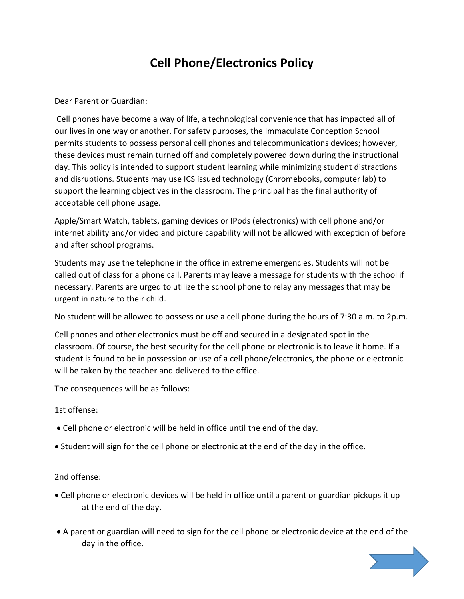## **Cell Phone/Electronics Policy**

Dear Parent or Guardian:

Cell phones have become a way of life, a technological convenience that has impacted all of our lives in one way or another. For safety purposes, the Immaculate Conception School permits students to possess personal cell phones and telecommunications devices; however, these devices must remain turned off and completely powered down during the instructional day. This policy is intended to support student learning while minimizing student distractions and disruptions. Students may use ICS issued technology (Chromebooks, computer lab) to support the learning objectives in the classroom. The principal has the final authority of acceptable cell phone usage.

Apple/Smart Watch, tablets, gaming devices or IPods (electronics) with cell phone and/or internet ability and/or video and picture capability will not be allowed with exception of before and after school programs.

Students may use the telephone in the office in extreme emergencies. Students will not be called out of class for a phone call. Parents may leave a message for students with the school if necessary. Parents are urged to utilize the school phone to relay any messages that may be urgent in nature to their child.

No student will be allowed to possess or use a cell phone during the hours of 7:30 a.m. to 2p.m.

Cell phones and other electronics must be off and secured in a designated spot in the classroom. Of course, the best security for the cell phone or electronic is to leave it home. If a student is found to be in possession or use of a cell phone/electronics, the phone or electronic will be taken by the teacher and delivered to the office.

The consequences will be as follows:

1st offense:

- Cell phone or electronic will be held in office until the end of the day.
- Student will sign for the cell phone or electronic at the end of the day in the office.

2nd offense:

- Cell phone or electronic devices will be held in office until a parent or guardian pickups it up at the end of the day.
- A parent or guardian will need to sign for the cell phone or electronic device at the end of the day in the office.